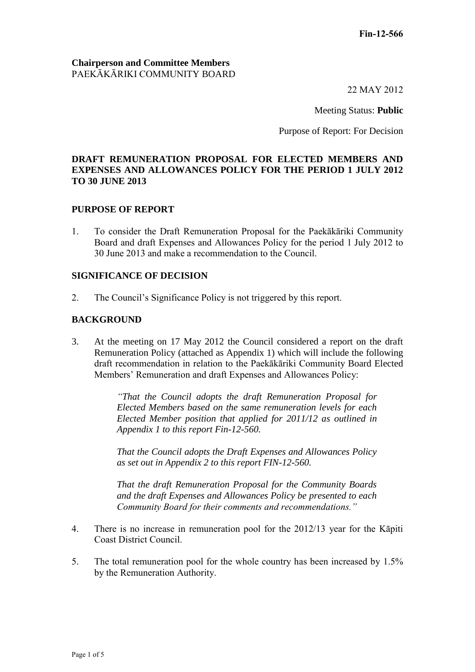### **Chairperson and Committee Members** PAEKĀKĀRIKI COMMUNITY BOARD

22 MAY 2012

Meeting Status: **Public**

Purpose of Report: For Decision

## **DRAFT REMUNERATION PROPOSAL FOR ELECTED MEMBERS AND EXPENSES AND ALLOWANCES POLICY FOR THE PERIOD 1 JULY 2012 TO 30 JUNE 2013**

### **PURPOSE OF REPORT**

1. To consider the Draft Remuneration Proposal for the Paekākāriki Community Board and draft Expenses and Allowances Policy for the period 1 July 2012 to 30 June 2013 and make a recommendation to the Council.

#### **SIGNIFICANCE OF DECISION**

2. The Council's Significance Policy is not triggered by this report.

#### **BACKGROUND**

3. At the meeting on 17 May 2012 the Council considered a report on the draft Remuneration Policy (attached as Appendix 1) which will include the following draft recommendation in relation to the Paekākāriki Community Board Elected Members' Remuneration and draft Expenses and Allowances Policy:

> *"That the Council adopts the draft Remuneration Proposal for Elected Members based on the same remuneration levels for each Elected Member position that applied for 2011/12 as outlined in Appendix 1 to this report Fin-12-560.*

> *That the Council adopts the Draft Expenses and Allowances Policy as set out in Appendix 2 to this report FIN-12-560.*

> *That the draft Remuneration Proposal for the Community Boards and the draft Expenses and Allowances Policy be presented to each Community Board for their comments and recommendations."*

- 4. There is no increase in remuneration pool for the 2012/13 year for the Kāpiti Coast District Council.
- 5. The total remuneration pool for the whole country has been increased by 1.5% by the Remuneration Authority.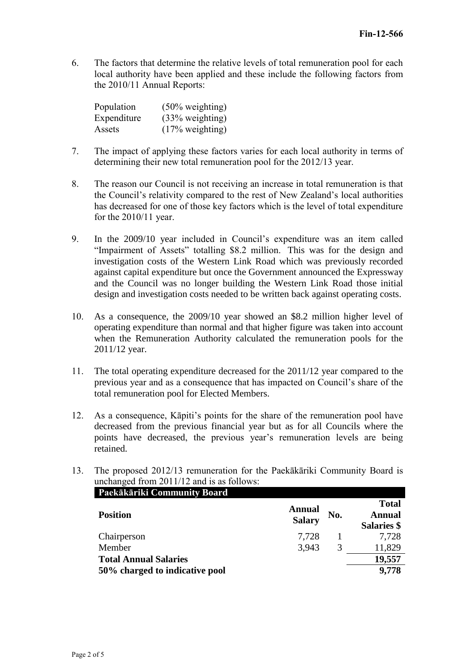6. The factors that determine the relative levels of total remuneration pool for each local authority have been applied and these include the following factors from the 2010/11 Annual Reports:

| Population  | $(50\% \text{ weighting})$ |
|-------------|----------------------------|
| Expenditure | $(33% \text{ weighting})$  |
| Assets      | $(17\% \text{ weighting})$ |

- 7. The impact of applying these factors varies for each local authority in terms of determining their new total remuneration pool for the 2012/13 year.
- 8. The reason our Council is not receiving an increase in total remuneration is that the Council's relativity compared to the rest of New Zealand's local authorities has decreased for one of those key factors which is the level of total expenditure for the 2010/11 year.
- 9. In the 2009/10 year included in Council's expenditure was an item called "Impairment of Assets" totalling \$8.2 million. This was for the design and investigation costs of the Western Link Road which was previously recorded against capital expenditure but once the Government announced the Expressway and the Council was no longer building the Western Link Road those initial design and investigation costs needed to be written back against operating costs.
- 10. As a consequence, the 2009/10 year showed an \$8.2 million higher level of operating expenditure than normal and that higher figure was taken into account when the Remuneration Authority calculated the remuneration pools for the 2011/12 year.
- 11. The total operating expenditure decreased for the 2011/12 year compared to the previous year and as a consequence that has impacted on Council's share of the total remuneration pool for Elected Members.
- 12. As a consequence, Kāpiti's points for the share of the remuneration pool have decreased from the previous financial year but as for all Councils where the points have decreased, the previous year's remuneration levels are being retained.
- 13. The proposed 2012/13 remuneration for the Paekākāriki Community Board is unchanged from 2011/12 and is as follows:

| Paekākāriki Community Board    |               |     |               |
|--------------------------------|---------------|-----|---------------|
|                                | <b>Annual</b> |     | <b>Total</b>  |
| <b>Position</b>                | <b>Salary</b> | No. | <b>Annual</b> |
|                                |               |     | Salaries \$   |
| Chairperson                    | 7,728         |     | 7,728         |
| Member                         | 3,943         | 3   | 11,829        |
| <b>Total Annual Salaries</b>   |               |     | 19,557        |
| 50% charged to indicative pool |               |     | 9,778         |
|                                |               |     |               |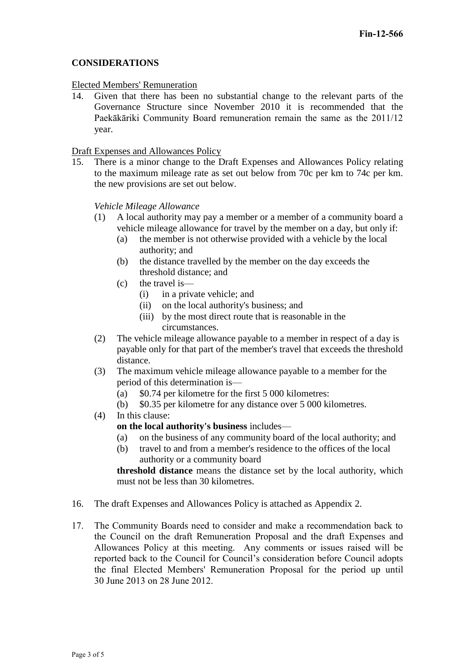## **CONSIDERATIONS**

#### Elected Members' Remuneration

14. Given that there has been no substantial change to the relevant parts of the Governance Structure since November 2010 it is recommended that the Paekākāriki Community Board remuneration remain the same as the 2011/12 year.

### Draft Expenses and Allowances Policy

15. There is a minor change to the Draft Expenses and Allowances Policy relating to the maximum mileage rate as set out below from 70c per km to 74c per km. the new provisions are set out below.

## *Vehicle Mileage Allowance*

- (1) A local authority may pay a member or a member of a community board a vehicle mileage allowance for travel by the member on a day, but only if:
	- (a) the member is not otherwise provided with a vehicle by the local authority; and
	- (b) the distance travelled by the member on the day exceeds the threshold distance; and
	- (c) the travel is—
		- (i) in a private vehicle; and
		- (ii) on the local authority's business; and
		- (iii) by the most direct route that is reasonable in the circumstances.
- (2) The vehicle mileage allowance payable to a member in respect of a day is payable only for that part of the member's travel that exceeds the threshold distance.
- (3) The maximum vehicle mileage allowance payable to a member for the period of this determination is—
	- (a) \$0.74 per kilometre for the first 5 000 kilometres:
	- (b) \$0.35 per kilometre for any distance over 5 000 kilometres.
- (4) In this clause:

## **on the local authority's business** includes—

- (a) on the business of any community board of the local authority; and
- (b) travel to and from a member's residence to the offices of the local authority or a community board

**threshold distance** means the distance set by the local authority, which must not be less than 30 kilometres.

- 16. The draft Expenses and Allowances Policy is attached as Appendix 2.
- 17. The Community Boards need to consider and make a recommendation back to the Council on the draft Remuneration Proposal and the draft Expenses and Allowances Policy at this meeting. Any comments or issues raised will be reported back to the Council for Council's consideration before Council adopts the final Elected Members' Remuneration Proposal for the period up until 30 June 2013 on 28 June 2012.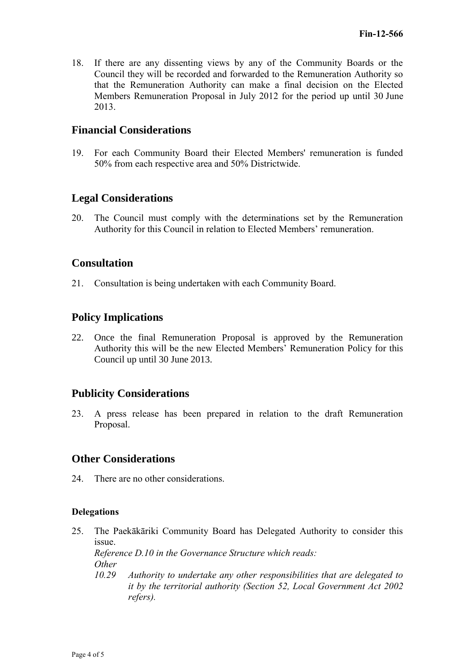18. If there are any dissenting views by any of the Community Boards or the Council they will be recorded and forwarded to the Remuneration Authority so that the Remuneration Authority can make a final decision on the Elected Members Remuneration Proposal in July 2012 for the period up until 30 June 2013.

# **Financial Considerations**

19. For each Community Board their Elected Members' remuneration is funded 50% from each respective area and 50% Districtwide.

# **Legal Considerations**

20. The Council must comply with the determinations set by the Remuneration Authority for this Council in relation to Elected Members' remuneration.

## **Consultation**

21. Consultation is being undertaken with each Community Board.

# **Policy Implications**

22. Once the final Remuneration Proposal is approved by the Remuneration Authority this will be the new Elected Members' Remuneration Policy for this Council up until 30 June 2013.

# **Publicity Considerations**

23. A press release has been prepared in relation to the draft Remuneration Proposal.

# **Other Considerations**

24. There are no other considerations.

## **Delegations**

25. The Paekākāriki Community Board has Delegated Authority to consider this issue. *Reference D.10 in the Governance Structure which reads: Other 10.29 Authority to undertake any other responsibilities that are delegated to it by the territorial authority (Section 52, Local Government Act 2002 refers).*